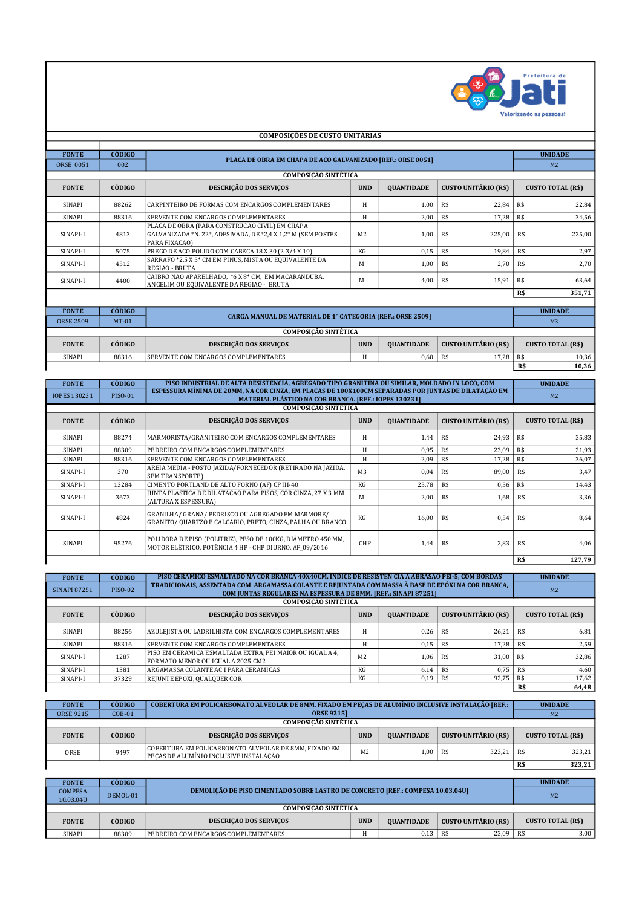

|                  | <b>COMPOSIÇÕES DE CUSTO UNITÁRIAS</b> |                                                                                                                                 |                |                   |                             |                |                          |  |  |  |
|------------------|---------------------------------------|---------------------------------------------------------------------------------------------------------------------------------|----------------|-------------------|-----------------------------|----------------|--------------------------|--|--|--|
|                  |                                       |                                                                                                                                 |                |                   |                             |                |                          |  |  |  |
| <b>FONTE</b>     | <b>CÓDIGO</b>                         | PLACA DE OBRA EM CHAPA DE ACO GALVANIZADO [REF.: ORSE 0051]                                                                     |                |                   |                             |                | <b>UNIDADE</b>           |  |  |  |
| <b>ORSE 0051</b> | 002                                   |                                                                                                                                 |                |                   |                             | M <sub>2</sub> |                          |  |  |  |
|                  |                                       | <b>COMPOSIÇÃO SINTÉTICA</b>                                                                                                     |                |                   |                             |                |                          |  |  |  |
| <b>FONTE</b>     | CÓDIGO                                | DESCRIÇÃO DOS SERVIÇOS                                                                                                          | <b>UND</b>     | <b>OUANTIDADE</b> | <b>CUSTO UNITÁRIO (R\$)</b> |                | <b>CUSTO TOTAL (R\$)</b> |  |  |  |
| SINAPI           | 88262                                 | CARPINTEIRO DE FORMAS COM ENCARGOS COMPLEMENTARES                                                                               | H              | 1.00              | R\$<br>22,84                | R\$            | 22.84                    |  |  |  |
| SINAPI           | 88316                                 | SERVENTE COM ENCARGOS COMPLEMENTARES                                                                                            | H              | 2,00              | R\$<br>17,28                | R\$            | 34,56                    |  |  |  |
| SINAPI-I         | 4813                                  | PLACA DE OBRA (PARA CONSTRUCAO CIVIL) EM CHAPA<br>GALVANIZADA *N. 22*, ADESIVADA, DE *2,4 X 1,2* M (SEM POSTES<br>PARA FIXACAO) | M <sub>2</sub> | 1,00              | 225,00<br>R\$               | R\$            | 225,00                   |  |  |  |
| SINAPI-I         | 5075                                  | PREGO DE ACO POLIDO COM CABECA 18 X 30 (2 3/4 X 10)                                                                             | KG             | 0,15              | R\$<br>19.84                | R <sub>s</sub> | 2,97                     |  |  |  |
| SINAPI-I         | 4512                                  | SARRAFO *2,5 X 5* CM EM PINUS, MISTA OU EQUIVALENTE DA<br>REGIAO - BRUTA                                                        | M              | 1,00              | R\$<br>2,70                 | R\$            | 2,70                     |  |  |  |
| SINAPI-I         | 4400                                  | CAIBRO NAO APARELHADO, *6 X 8* CM, EM MACARANDUBA,<br>ANGELIM OU EQUIVALENTE DA REGIAO - BRUTA                                  | M              | 4,00              | R\$<br>15,91                | R\$            | 63,64                    |  |  |  |
|                  |                                       |                                                                                                                                 |                |                   |                             | R\$            | 351,71                   |  |  |  |
|                  |                                       |                                                                                                                                 |                |                   |                             |                |                          |  |  |  |
| <b>FONTE</b>     | CÓDIGO                                | CARGA MANUAL DE MATERIAL DE 1° CATEGORIA [REF.: ORSE 2509]                                                                      |                |                   |                             |                | <b>UNIDADE</b>           |  |  |  |
| <b>ORSE 2509</b> | $MT-01$                               |                                                                                                                                 |                |                   |                             |                | M <sub>3</sub>           |  |  |  |
|                  |                                       | <b>COMPOSICÃO SINTÉTICA</b>                                                                                                     |                |                   |                             |                |                          |  |  |  |
| <b>FONTE</b>     | CÓDIGO                                | DESCRIÇÃO DOS SERVIÇOS                                                                                                          | <b>UND</b>     | <b>OUANTIDADE</b> | <b>CUSTO UNITÁRIO (R\$)</b> |                | <b>CUSTO TOTAL (R\$)</b> |  |  |  |
| SINAPI           | 88316                                 | SERVENTE COM ENCARGOS COMPLEMENTARES                                                                                            | H              | 0.60              | R\$<br>17,28                | R\$            | 10,36                    |  |  |  |
|                  |                                       |                                                                                                                                 |                |                   |                             | R\$            | 10,36                    |  |  |  |

├

F

| <b>FONTE</b>        | <b>CÓDIGO</b>  | PISO INDUSTRIAL DE ALTA RESISTÊNCIA, AGREGADO TIPO GRANITINA OU SIMILAR, MOLDADO IN LOCO, COM                                                                |                |                   |                             | <b>UNIDADE</b>           |  |  |  |
|---------------------|----------------|--------------------------------------------------------------------------------------------------------------------------------------------------------------|----------------|-------------------|-----------------------------|--------------------------|--|--|--|
| <b>IOPES 130231</b> | <b>PISO-01</b> | ESPESSURA MÍNIMA DE 20MM, NA COR CINZA, EM PLACAS DE 100X100CM SEPARADAS POR JUNTAS DE DILATAÇÃO EM<br>MATERIAL PLÁSTICO NA COR BRANCA. [REF.: IOPES 130231] |                |                   |                             | M <sub>2</sub>           |  |  |  |
|                     |                | <b>COMPOSICÃO SINTÉTICA</b>                                                                                                                                  |                |                   |                             |                          |  |  |  |
| <b>FONTE</b>        | CÓDIGO         | <b>DESCRIÇÃO DOS SERVIÇOS</b>                                                                                                                                | <b>UND</b>     | <b>QUANTIDADE</b> | <b>CUSTO UNITÁRIO (R\$)</b> | <b>CUSTO TOTAL (R\$)</b> |  |  |  |
| SINAPI              | 88274          | MARMORISTA/GRANITEIRO COM ENCARGOS COMPLEMENTARES                                                                                                            | H              | 1,44              | R\$<br>24,93                | R\$<br>35,83             |  |  |  |
| SINAPI              | 88309          | PEDREIRO COM ENCARGOS COMPLEMENTARES                                                                                                                         | Н              | 0,95              | R\$<br>23,09                | R\$<br>21,93             |  |  |  |
| SINAPI              | 88316          | SERVENTE COM ENCARGOS COMPLEMENTARES                                                                                                                         | H              | 2,09              | R\$<br>17,28                | 36,07<br>R\$             |  |  |  |
| SINAPI-I            | 370            | AREIA MEDIA - POSTO JAZIDA/FORNECEDOR (RETIRADO NA JAZIDA,<br><b>SEM TRANSPORTE)</b>                                                                         | M <sub>3</sub> | 0,04              | R\$<br>89,00                | R\$<br>3.47              |  |  |  |
| SINAPI-I            | 13284          | CIMENTO PORTLAND DE ALTO FORNO (AF) CP III-40                                                                                                                | KG             | 25,78             | R\$<br>0,56                 | R\$<br>14,43             |  |  |  |
| SINAPI-I            | 3673           | JUNTA PLASTICA DE DILATACAO PARA PISOS, COR CINZA, 27 X 3 MM<br>(ALTURA X ESPESSURA)                                                                         | М              | 2,00              | R\$<br>1,68                 | 3,36<br>R\$              |  |  |  |
| SINAPI-I            | 4824           | GRANILHA/ GRANA/ PEDRISCO OU AGREGADO EM MARMORE/<br>GRANITO/ QUARTZO E CALCARIO, PRETO, CINZA, PALHA OU BRANCO                                              | KG             | 16,00             | R\$<br>0,54                 | R\$<br>8,64              |  |  |  |
| SINAPI              | 95276          | POLIDORA DE PISO (POLITRIZ), PESO DE 100KG, DIÂMETRO 450 MM,<br>MOTOR ELÉTRICO, POTÊNCIA 4 HP - CHP DIURNO. AF 09/2016                                       | CHP            | 1,44              | 2,83<br>R\$                 | R\$<br>4.06              |  |  |  |
|                     |                | R\$                                                                                                                                                          |                |                   |                             |                          |  |  |  |

| <b>FONTE</b><br><b>SINAPI 87251</b> | <b>CÓDIGO</b><br><b>PISO-02</b>                                                               | PISO CERÂMICO ESMALTADO NA COR BRANCA 40X40CM, ÍNDICE DE RESISTÊN CIA À ABRASÃO PEI-5, COM BORDAS<br>TRADICIONAIS, ASSENTADA COM ARGAMASSA COLANTE E REJUNTADA COM MASSA À BASE DE EPÓXI NA COR BRANCA, |                | <b>UNIDADE</b><br>M <sub>2</sub> |                             |                          |  |  |
|-------------------------------------|-----------------------------------------------------------------------------------------------|---------------------------------------------------------------------------------------------------------------------------------------------------------------------------------------------------------|----------------|----------------------------------|-----------------------------|--------------------------|--|--|
|                                     | COM JUNTAS REGULARES NA ESPESSURA DE 8MM. [REF.: SINAPI 87251]<br><b>COMPOSICÃO SINTÉTICA</b> |                                                                                                                                                                                                         |                |                                  |                             |                          |  |  |
|                                     |                                                                                               |                                                                                                                                                                                                         |                |                                  |                             |                          |  |  |
| <b>FONTE</b>                        | CÓDIGO                                                                                        | <b>DESCRIÇÃO DOS SERVIÇOS</b>                                                                                                                                                                           | <b>UND</b>     | <b>OUANTIDADE</b>                | <b>CUSTO UNITÁRIO (R\$)</b> | <b>CUSTO TOTAL (R\$)</b> |  |  |
| SINAPI                              | 88256                                                                                         | AZULEJISTA OU LADRILHISTA COM ENCARGOS COMPLEMENTARES                                                                                                                                                   | H              | 0.26                             | R\$<br>26.21                | R\$<br>6,81              |  |  |
| SINAPI                              | 88316                                                                                         | SERVENTE COM ENCARGOS COMPLEMENTARES                                                                                                                                                                    | Н              | 0,15                             | R\$<br>17.28                | R\$<br>2,59              |  |  |
| SINAPI-I                            | 1287                                                                                          | PISO EM CERAMICA ESMALTADA EXTRA, PEI MAIOR OU IGUAL A 4,<br>FORMATO MENOR OU IGUAL A 2025 CM2                                                                                                          | M <sub>2</sub> | 1.06                             | R\$<br>31.00                | 32,86<br><b>R\$</b>      |  |  |
| SINAPI-I                            | 1381                                                                                          | ARGAMASSA COLANTE AC I PARA CERAMICAS                                                                                                                                                                   | KG             | 6,14                             | R\$<br>0.75                 | R\$<br>4,60              |  |  |
| SINAPI-I                            | 37329                                                                                         | <b>REJUNTE EPOXI, QUALQUER COR</b>                                                                                                                                                                      | KG             | 0,19                             | R\$<br>92,75                | 17,62<br>R\$             |  |  |
|                                     |                                                                                               |                                                                                                                                                                                                         |                |                                  |                             | 64,48<br>R\$             |  |  |

| <b>FONTE</b>     | <b>CÓDIGO</b>                 | COBERTURA EM POLICARBONATO ALVEOLAR DE 8MM, FIXADO EM PEÇAS DE ALUMÍNIO INCLUSIVE INSTALAÇÃO [REF.: |                |                   |                      |                          | <b>UNIDADE</b> |  |
|------------------|-------------------------------|-----------------------------------------------------------------------------------------------------|----------------|-------------------|----------------------|--------------------------|----------------|--|
| <b>ORSE 9215</b> | <b>ORSE 92151</b><br>$COB-01$ |                                                                                                     |                |                   |                      |                          | M <sub>2</sub> |  |
|                  |                               |                                                                                                     |                |                   |                      |                          |                |  |
| <b>FONTE</b>     | CÓDIGO                        | <b>DESCRIÇÃO DOS SERVIÇOS</b>                                                                       | <b>UND</b>     | <b>OUANTIDADE</b> | CUSTO UNITÁRIO (R\$) | <b>CUSTO TOTAL (R\$)</b> |                |  |
| ORSE             | 9497                          | COBERTURA EM POLICARBONATO ALVEOLAR DE 8MM. FIXADO EM<br>PECAS DE ALUMÍNIO INCLUSIVE INSTALAÇÃO     | M <sub>2</sub> | 1.00              | 323.21<br>R\$        | R\$                      | 323.21         |  |
|                  |                               |                                                                                                     |                |                   |                      | R\$                      | 323,21         |  |

| <b>FONTE</b>   | CÓDIGO   |                                                                                       |                | <b>UNIDADE</b>    |                             |                          |  |
|----------------|----------|---------------------------------------------------------------------------------------|----------------|-------------------|-----------------------------|--------------------------|--|
| <b>COMPESA</b> |          | <b>DEMOLICÃO DE PISO CIMENTADO SOBRE LASTRO DE CONCRETO [REF.: COMPESA 10.03.04U]</b> | M <sub>2</sub> |                   |                             |                          |  |
| 10.03.04U      | DEMOL-01 |                                                                                       |                |                   |                             |                          |  |
|                |          |                                                                                       |                |                   |                             |                          |  |
| <b>FONTE</b>   | CÓDIGO   | <b>DESCRIÇÃO DOS SERVIÇOS</b>                                                         | <b>UND</b>     | <b>OUANTIDADE</b> | <b>CUSTO UNITÁRIO (R\$)</b> | <b>CUSTO TOTAL (R\$)</b> |  |
| SINAPI         | 88309    | PEDREIRO COM ENCARGOS COMPLEMENTARES                                                  | Н              | 0,13              | 23,09<br>R\$                | R\$<br>3,00              |  |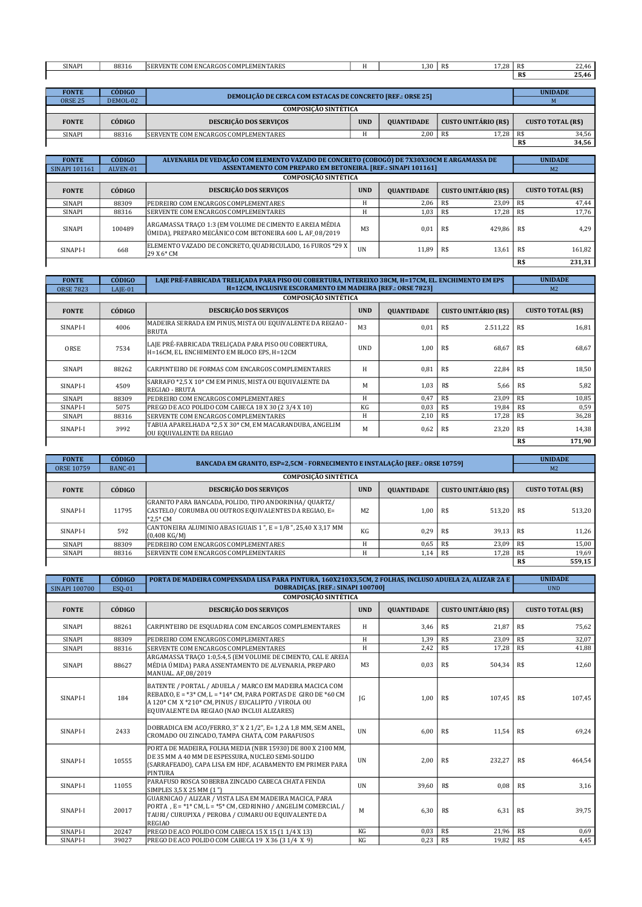| <b>SINAPI</b> | 0021<br>88316 | <b>COMPLEMENTARES</b><br>.:OM ENCARGOS (<br>'RVEN.<br>5EK. | 1,30 | 1720<br>R\$<br>7.40 | R\$ | $\sim$<br>22.70        |
|---------------|---------------|------------------------------------------------------------|------|---------------------|-----|------------------------|
|               |               |                                                            |      |                     | R\$ | $\sim$ $\sim$<br>25.46 |

| <b>FONTE</b>         | <b>CÓDIGO</b> | <b>DEMOLICÃO DE CERCA COM ESTACAS DE CONCRETO [REF.: ORSE 25]</b> |            |                   |                      | <b>UNIDADE</b>           |  |  |  |
|----------------------|---------------|-------------------------------------------------------------------|------------|-------------------|----------------------|--------------------------|--|--|--|
| <b>ORSE 25</b>       | DEMOL-02      |                                                                   |            |                   |                      |                          |  |  |  |
| COMPOSICÃO SINTÉTICA |               |                                                                   |            |                   |                      |                          |  |  |  |
| <b>FONTE</b>         | CÓDIGO        | <b>DESCRIÇÃO DOS SERVIÇOS</b>                                     | <b>UND</b> | <b>OUANTIDADE</b> | CUSTO UNITÁRIO (R\$) | <b>CUSTO TOTAL (R\$)</b> |  |  |  |
| SINAPI               | 88316         | SERVENTE COM ENCARGOS COMPLEMENTARES                              | ш          | 2.00              | 17.28<br>R\$         | 34,56<br>R\$             |  |  |  |
|                      |               |                                                                   |            |                   |                      | 34,56<br>R\$             |  |  |  |

| <b>FONTE</b><br><b>SINAPI 101161</b> | <b>CÓDIGO</b><br>ALVEN-01   | ALVENARIA DE VEDAÇÃO COM ELEMENTO VAZADO DE CONCRETO (COBOGÓ) DE 7X30X30CM E ARGAMASSA DE<br>ASSENTAMENTO COM PREPARO EM BETONEIRA. [REF.: SINAPI 101161] |                | <b>UNIDADE</b><br>M <sub>2</sub> |                             |      |                          |  |
|--------------------------------------|-----------------------------|-----------------------------------------------------------------------------------------------------------------------------------------------------------|----------------|----------------------------------|-----------------------------|------|--------------------------|--|
|                                      | <b>COMPOSICÃO SINTÉTICA</b> |                                                                                                                                                           |                |                                  |                             |      |                          |  |
| <b>FONTE</b>                         | CÓDIGO                      | <b>DESCRIÇÃO DOS SERVIÇOS</b>                                                                                                                             | <b>UND</b>     | <b>OUANTIDADE</b>                | <b>CUSTO UNITÁRIO (R\$)</b> |      | <b>CUSTO TOTAL (R\$)</b> |  |
| SINAPI                               | 88309                       | PEDREIRO COM ENCARGOS COMPLEMENTARES                                                                                                                      | H              | 2.06                             | R\$<br>23.09                | R\$  | 47,44                    |  |
| SINAPI                               | 88316                       | <b>ISERVENTE COM ENCARGOS COMPLEMENTARES</b>                                                                                                              | Н              | 1,03                             | 17,28<br>R\$                | R\$  | 17,76                    |  |
| SINAPI                               | 100489                      | ARGAMASSA TRACO 1:3 (EM VOLUME DE CIMENTO E AREIA MÉDIA<br>ÚMIDA), PREPARO MECÂNICO COM BETONEIRA 600 L. AF_08/2019                                       | M <sub>3</sub> | 0.01                             | R\$<br>429.86               | -R\$ | 4.29                     |  |
| SINAPI-I                             | 668                         | ELEMENTO VAZADO DE CONCRETO, QUADRICULADO, 16 FUROS *29 X<br>29 X 6* CM                                                                                   | <b>UN</b>      | 11.89                            | 13.61<br>R\$                | -R\$ | 161,82                   |  |
|                                      |                             |                                                                                                                                                           |                |                                  |                             | R\$  | 231,31                   |  |

| <b>FONTE</b>     | <b>CÓDIGO</b> | LAJE PRE-FABRICADA TRELICADA PARA PISO OU COBERTURA, INTEREIXO 38CM, H=17CM, EL. ENCHIMENTO EM EPS  |                |                   |                             |     | <b>UNIDADE</b>           |
|------------------|---------------|-----------------------------------------------------------------------------------------------------|----------------|-------------------|-----------------------------|-----|--------------------------|
| <b>ORSE 7823</b> | $LAIE-01$     | H=12CM, INCLUSIVE ESCORAMENTO EM MADEIRA [REF.: ORSE 7823]                                          |                |                   |                             |     | M <sub>2</sub>           |
|                  |               | <b>COMPOSICÃO SINTÉTICA</b>                                                                         |                |                   |                             |     |                          |
| <b>FONTE</b>     | CÓDIGO        | <b>DESCRIÇÃO DOS SERVIÇOS</b>                                                                       | <b>UND</b>     | <b>OUANTIDADE</b> | <b>CUSTO UNITÁRIO (R\$)</b> |     | <b>CUSTO TOTAL (R\$)</b> |
| SINAPI-I         | 4006          | MADEIRA SERRADA EM PINUS, MISTA OU EQUIVALENTE DA REGIAO -<br><b>BRUTA</b>                          | M <sub>3</sub> | 0.01              | R\$<br>2.511,22             | R\$ | 16.81                    |
| ORSE             | 7534          | LAJE PRÉ-FABRICADA TRELICADA PARA PISO OU COBERTURA,<br>H=16CM, EL, ENCHIMENTO EM BLOCO EPS, H=12CM | <b>UND</b>     | 1,00              | R\$<br>68.67                | R\$ | 68.67                    |
| SINAPI           | 88262         | CARPINTEIRO DE FORMAS COM ENCARGOS COMPLEMENTARES                                                   | H              | 0.81              | R\$<br>22,84                | R\$ | 18,50                    |
| SINAPI-I         | 4509          | SARRAFO *2,5 X 10* CM EM PINUS, MISTA OU EQUIVALENTE DA<br><b>REGIAO - BRUTA</b>                    | М              | 1,03              | R\$<br>5,66                 | R\$ | 5,82                     |
| SINAPI           | 88309         | PEDREIRO COM ENCARGOS COMPLEMENTARES                                                                | Н              | 0,47              | R\$<br>23,09                | R\$ | 10,85                    |
| SINAPI-I         | 5075          | PREGO DE ACO POLIDO COM CABECA 18 X 30 (2 3/4 X 10)                                                 | KG             | 0,03              | R\$<br>19,84                | R\$ | 0,59                     |
| SINAPI           | 88316         | SERVENTE COM ENCARGOS COMPLEMENTARES                                                                | Н              | 2,10              | R\$<br>17,28                | R\$ | 36,28                    |
| SINAPI-I         | 3992          | TABUA APARELHADA *2,5 X 30* CM, EM MACARANDUBA, ANGELIM<br>OU EQUIVALENTE DA REGIAO                 | М              | 0,62              | R\$<br>23,20                | R\$ | 14,38                    |
|                  |               |                                                                                                     |                |                   |                             | R\$ | 171,90                   |

| <b>FONTE</b>                | <b>CÓDIGO</b> |                                                                                                                              | BANCADA EM GRANITO, ESP=2,5CM - FORNECIMENTO E INSTALAÇÃO [REF.: ORSE 10759] |                   |                             |                |                          |  |
|-----------------------------|---------------|------------------------------------------------------------------------------------------------------------------------------|------------------------------------------------------------------------------|-------------------|-----------------------------|----------------|--------------------------|--|
| <b>ORSE 10759</b>           | BANC-01       |                                                                                                                              |                                                                              |                   |                             | M <sub>2</sub> |                          |  |
| <b>COMPOSIÇÃO SINTÉTICA</b> |               |                                                                                                                              |                                                                              |                   |                             |                |                          |  |
| <b>FONTE</b>                | CÓDIGO        | DESCRIÇÃO DOS SERVIÇOS                                                                                                       | <b>UND</b>                                                                   | <b>QUANTIDADE</b> | <b>CUSTO UNITÁRIO (R\$)</b> |                | <b>CUSTO TOTAL (R\$)</b> |  |
| SINAPI-I                    | 11795         | GRANITO PARA BANCADA, POLIDO, TIPO ANDORINHA/ QUARTZ/<br>CASTELO/ CORUMBA OU OUTROS EQUIVALENTES DA REGIAO, E=<br>$*2.5*$ CM | M <sub>2</sub>                                                               | 1.00              | R\$<br>513.20               | R\$            | 513.20                   |  |
| SINAPI-I                    | 592           | CANTONEIRA ALUMINIO ABAS IGUAIS 1 ", E = $1/8$ ", 25,40 X 3,17 MM<br>$(0,408 \text{ KG/M})$                                  | KG.                                                                          | 0.29              | 39.13<br>R\$                | R\$            | 11,26                    |  |
| SINAPI                      | 88309         | PEDREIRO COM ENCARGOS COMPLEMENTARES                                                                                         | Н                                                                            | 0,65              | R\$<br>23.09                | R\$            | 15,00                    |  |
| SINAPI                      | 88316         | <b>ISERVENTE COM ENCARGOS COMPLEMENTARES</b>                                                                                 | н                                                                            | 1,14              | 17,28<br>R\$                | R\$            | 19,69                    |  |
|                             |               |                                                                                                                              |                                                                              |                   |                             | R\$            | 559,15                   |  |

| <b>FONTE</b>         | CÓDIGO | PORTA DE MADEIRA COMPENSADA LISA PARA PINTURA, 160X210X3,5CM, 2 FOLHAS, INCLUSO ADUELA 2A, ALIZAR 2A E                                                                                                                                 |                |                   |                             | <b>UNIDADE</b>           |  |
|----------------------|--------|----------------------------------------------------------------------------------------------------------------------------------------------------------------------------------------------------------------------------------------|----------------|-------------------|-----------------------------|--------------------------|--|
| <b>SINAPI 100700</b> | ESO-01 | <b>DOBRADICAS. [REF.: SINAPI 100700]</b>                                                                                                                                                                                               |                |                   |                             | <b>UND</b>               |  |
|                      |        | <b>COMPOSICÃO SINTÉTICA</b>                                                                                                                                                                                                            |                |                   |                             |                          |  |
| <b>FONTE</b>         | CÓDIGO | DESCRIÇÃO DOS SERVIÇOS                                                                                                                                                                                                                 | <b>UND</b>     | <b>QUANTIDADE</b> | <b>CUSTO UNITÁRIO (R\$)</b> | <b>CUSTO TOTAL (R\$)</b> |  |
| SINAPI               | 88261  | CARPINTEIRO DE ESQUADRIA COM ENCARGOS COMPLEMENTARES                                                                                                                                                                                   | H              | 3,46              | R\$<br>21,87                | R\$<br>75,62             |  |
| <b>SINAPI</b>        | 88309  | PEDREIRO COM ENCARGOS COMPLEMENTARES                                                                                                                                                                                                   | H              | 1.39              | R\$<br>23.09                | R\$<br>32.07             |  |
| SINAPI               | 88316  | SERVENTE COM ENCARGOS COMPLEMENTARES                                                                                                                                                                                                   | H              | 2,42              | R\$<br>17,28                | R\$<br>41,88             |  |
| SINAPI               | 88627  | ARGAMASSA TRACO 1:0,5:4,5 (EM VOLUME DE CIMENTO, CAL E AREIA<br>MÉDIA ÚMIDA) PARA ASSENTAMENTO DE ALVENARIA, PREPARO<br>MANUAL. AF 08/2019                                                                                             | M <sub>3</sub> | 0,03              | R\$<br>504,34               | R\$<br>12,60             |  |
| SINAPI-I             | 184    | BATENTE / PORTAL / ADUELA / MARCO EM MADEIRA MACICA COM<br>REBAIXO, E = $*3*$ CM, L = $*14*$ CM, PARA PORTAS DE GIRO DE $*60$ CM<br>A 120* CM X *210* CM, PINUS / EUCALIPTO / VIROLA OU<br>EQUIVALENTE DA REGIAO (NAO INCLUI ALIZARES) | <sub>IG</sub>  | 1.00              | R\$<br>107.45               | R\$<br>107.45            |  |
| SINAPI-I             | 2433   | DOBRADICA EM ACO/FERRO, 3" X 2 1/2", E= 1,2 A 1,8 MM, SEM ANEL,<br>CROMADO OU ZINCADO. TAMPA CHATA. COM PARAFUSOS                                                                                                                      | <b>UN</b>      | 6,00              | R\$<br>11,54                | R\$<br>69,24             |  |
| SINAPI-I             | 10555  | PORTA DE MADEIRA, FOLHA MEDIA (NBR 15930) DE 800 X 2100 MM,<br>DE 35 MM A 40 MM DE ESPESSURA. NUCLEO SEMI-SOLIDO<br>(SARRAFEADO), CAPA LISA EM HDF, ACABAMENTO EM PRIMER PARA<br>PINTURA                                               | <b>UN</b>      | 2,00              | 232,27<br>R\$               | R\$<br>464,54            |  |
| SINAPI-I             | 11055  | PARAFUSO ROSCA SOBERBA ZINCADO CABECA CHATA FENDA<br>SIMPLES 3,5 X 25 MM (1")                                                                                                                                                          | <b>UN</b>      | 39,60             | R\$<br>0.08                 | R\$<br>3,16              |  |
| SINAPI-I             | 20017  | GUARNICAO / ALIZAR / VISTA LISA EM MADEIRA MACICA, PARA<br>PORTA, $E = 1*CM$ , $L = 5*CM$ , CEDRINHO / ANGELIM COMERCIAL /<br>TAURI / CURUPIXA / PEROBA / CUMARU OU EQUIVALENTE DA<br><b>REGIAO</b>                                    | M              | 6,30              | R\$<br>6,31                 | R\$<br>39,75             |  |
| SINAPI-I             | 20247  | PREGO DE ACO POLIDO COM CABECA 15 X 15 (1 1/4 X 13)                                                                                                                                                                                    | KG             | 0,03              | R\$<br>21,96                | R\$<br>0,69              |  |
| SINAPI-I             | 39027  | PREGO DE ACO POLIDO COM CABECA 19 X 36 (3 1/4 X 9)                                                                                                                                                                                     | KG             | 0,23              | R\$<br>19,82                | R\$<br>4,45              |  |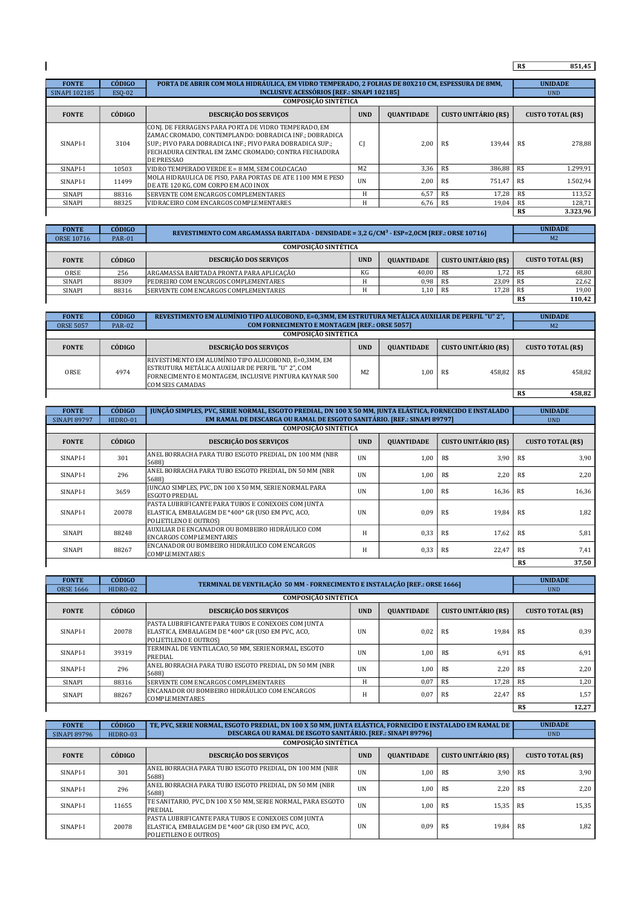## R\$ 851,45

| <b>FONTE</b>  | <b>CÓDIGO</b> | PORTA DE ABRIR COM MOLA HIDRÁULICA, EM VIDRO TEMPERADO, 2 FOLHAS DE 80X210 CM, ESPESSURA DE 8MM,                                                                                                                                                   |                |                   |                             |            | <b>UNIDADE</b>           |
|---------------|---------------|----------------------------------------------------------------------------------------------------------------------------------------------------------------------------------------------------------------------------------------------------|----------------|-------------------|-----------------------------|------------|--------------------------|
| SINAPI 102185 | ESO-02        | <b>INCLUSIVE ACESSÓRIOS [REF.: SINAPI 102185]</b>                                                                                                                                                                                                  |                |                   |                             | <b>UND</b> |                          |
|               |               | <b>COMPOSICÃO SINTÉTICA</b>                                                                                                                                                                                                                        |                |                   |                             |            |                          |
| <b>FONTE</b>  | CÓDIGO        | <b>DESCRIÇÃO DOS SERVIÇOS</b>                                                                                                                                                                                                                      | <b>UND</b>     | <b>OUANTIDADE</b> | <b>CUSTO UNITÁRIO (R\$)</b> |            | <b>CUSTO TOTAL (R\$)</b> |
| SINAPI-I      | 3104          | CONJ. DE FERRAGENS PARA PORTA DE VIDRO TEMPERADO, EM<br>ZAMAC CROMADO. CONTEMPLANDO: DOBRADICA INF.: DOBRADICA<br>SUP.: PIVO PARA DOBRADICA INF.: PIVO PARA DOBRADICA SUP.:  <br>FECHADURA CENTRAL EM ZAMC CROMADO; CONTRA FECHADURA<br>DE PRESSAO | CI             | 2.00              | R\$<br>139.44               | R\$        | 278.88                   |
| SINAPI-I      | 10503         | VIDRO TEMPERADO VERDE E = 8 MM, SEM COLOCACAO                                                                                                                                                                                                      | M <sub>2</sub> | 3,36              | R\$<br>386,88               | R\$        | 1.299,91                 |
| SINAPI-I      | 11499         | MOLA HIDRAULICA DE PISO. PARA PORTAS DE ATE 1100 MM E PESO<br>DE ATE 120 KG, COM CORPO EM ACO INOX                                                                                                                                                 | <b>UN</b>      | 2.00              | R\$<br>751.47               | R\$        | 1.502.94                 |
| SINAPI        | 88316         | SERVENTE COM ENCARGOS COMPLEMENTARES                                                                                                                                                                                                               | H              | 6,57              | R\$<br>17.28                | R\$        | 113,52                   |
| SINAPI        | 88325         | VIDRACEIRO COM ENCARGOS COMPLEMENTARES                                                                                                                                                                                                             | H              | 6,76              | R\$<br>19,04                | R\$        | 128,71                   |
|               |               |                                                                                                                                                                                                                                                    |                |                   |                             | R\$        | 3.323,96                 |

| <b>FONTE</b>      | <b>CÓDIGO</b>               | REVESTIMENTO COM ARGAMASSA BARITADA - DENSIDADE = 3,2 G/CM <sup>3</sup> - ESP=2,0CM [REF.: ORSE 10716] |            | <b>UNIDADE</b>    |                             |                          |  |  |  |  |
|-------------------|-----------------------------|--------------------------------------------------------------------------------------------------------|------------|-------------------|-----------------------------|--------------------------|--|--|--|--|
| <b>ORSE 10716</b> | <b>PAR-01</b>               |                                                                                                        |            |                   |                             | M <sub>2</sub>           |  |  |  |  |
|                   | <b>COMPOSICÃO SINTÉTICA</b> |                                                                                                        |            |                   |                             |                          |  |  |  |  |
| <b>FONTE</b>      | CÓDIGO                      | <b>DESCRIÇÃO DOS SERVIÇOS</b>                                                                          | <b>UND</b> | <b>OUANTIDADE</b> | <b>CUSTO UNITÁRIO (R\$)</b> | <b>CUSTO TOTAL (R\$)</b> |  |  |  |  |
| ORSE              | 256                         | ARGAMASSA BARITADA PRONTA PARA APLICAÇÃO                                                               | KG         | 40.00             | 1.72<br>R\$                 | 68,80<br>R\$             |  |  |  |  |
| SINAPI            | 88309                       | PEDREIRO COM ENCARGOS COMPLEMENTARES                                                                   |            | 0,98              | 23,09<br>R\$                | 22,62<br>R\$             |  |  |  |  |
| SINAPI            | 88316                       | SERVENTE COM ENCARGOS COMPLEMENTARES                                                                   |            | 1,10              | 17.28<br>R\$                | 19,00<br>R\$             |  |  |  |  |
|                   |                             |                                                                                                        |            |                   |                             | 110,42<br>R\$            |  |  |  |  |

| <b>FONTE</b>                | <b>CÓDIGO</b> | REVESTIMENTO EM ALUMÍNIO TIPO ALUCOBOND, E=0,3MM, EM ESTRUTURA METÁLICA AUXILIAR DE PERFIL "U" 2",                                                                                            |                                                      |                   |                      | <b>UNIDADE</b>           |        |  |  |
|-----------------------------|---------------|-----------------------------------------------------------------------------------------------------------------------------------------------------------------------------------------------|------------------------------------------------------|-------------------|----------------------|--------------------------|--------|--|--|
| <b>ORSE 5057</b>            | <b>PAR-02</b> |                                                                                                                                                                                               | <b>COM FORNECIMENTO E MONTAGEM [REF.: ORSE 5057]</b> |                   |                      |                          |        |  |  |
| <b>COMPOSICÃO SINTÉTICA</b> |               |                                                                                                                                                                                               |                                                      |                   |                      |                          |        |  |  |
| <b>FONTE</b>                | CÓDIGO        | <b>DESCRIÇÃO DOS SERVIÇOS</b>                                                                                                                                                                 | <b>UND</b>                                           | <b>QUANTIDADE</b> | CUSTO UNITÁRIO (R\$) | <b>CUSTO TOTAL (R\$)</b> |        |  |  |
| ORSE                        | 4974          | REVESTIMENTO EM ALUMÍNIO TIPO ALUCOBOND, E=0,3MM, EM<br>ESTRUTURA METÁLICA AUXILIAR DE PERFIL "U" 2". COM<br>FORNECIMENTO E MONTAGEM, INCLUSIVE PINTURA KAYNAR 500<br><b>COM SEIS CAMADAS</b> | M <sub>2</sub>                                       | 00.1              | 458.82<br>R\$        | -R\$                     | 458.82 |  |  |
|                             |               |                                                                                                                                                                                               |                                                      |                   |                      | R\$                      | 458,82 |  |  |
|                             |               |                                                                                                                                                                                               |                                                      |                   |                      |                          |        |  |  |

| <b>FONTE</b>        | <b>CÓDIGO</b> | JUNÇÃO SIMPLES, PVC, SERIE NORMAL, ESGOTO PREDIAL, DN 100 X 50 MM, JUNTA ELÁSTICA, FORNECIDO E INSTALADO                         |            | <b>UNIDADE</b>    |                             |                          |  |
|---------------------|---------------|----------------------------------------------------------------------------------------------------------------------------------|------------|-------------------|-----------------------------|--------------------------|--|
| <b>SINAPI 89797</b> | HIDRO-01      | EM RAMAL DE DESCARGA OU RAMAL DE ESGOTO SANITÁRIO. [REF.: SINAPI 89797]                                                          |            |                   |                             | <b>UND</b>               |  |
|                     |               | <b>COMPOSICÃO SINTÉTICA</b>                                                                                                      |            |                   |                             |                          |  |
| <b>FONTE</b>        | CÓDIGO        | DESCRIÇÃO DOS SERVIÇOS                                                                                                           | <b>UND</b> | <b>QUANTIDADE</b> | <b>CUSTO UNITÁRIO (R\$)</b> | <b>CUSTO TOTAL (R\$)</b> |  |
| SINAPI-I            | 301           | ANEL BORRACHA PARA TUBO ESGOTO PREDIAL, DN 100 MM (NBR<br>5688)                                                                  | <b>UN</b>  | 1,00              | R\$<br>3,90                 | R\$<br>3,90              |  |
| SINAPI-I            | 296           | ANEL BORRACHA PARA TUBO ESGOTO PREDIAL, DN 50 MM (NBR<br>5688)                                                                   | <b>UN</b>  | 1,00              | R\$<br>2,20                 | 2,20<br>R\$              |  |
| SINAPI-I            | 3659          | JUNCAO SIMPLES, PVC, DN 100 X 50 MM, SERIE NORMAL PARA<br><b>ESGOTO PREDIAL</b>                                                  | <b>IIN</b> | 1,00              | R\$<br>16,36                | R\$<br>16,36             |  |
| SINAPI-I            | 20078         | PASTA LUBRIFICANTE PARA TUBOS E CONEXOES COM JUNTA<br>ELASTICA, EMBALAGEM DE *400* GR (USO EM PVC, ACO,<br>POLIETILENO E OUTROS) | <b>UN</b>  | 0,09              | R\$<br>19,84                | R\$<br>1,82              |  |
| SINAPI              | 88248         | AUXILIAR DE ENCANADOR OU BOMBEIRO HIDRÁULICO COM<br><b>ENCARGOS COMPLEMENTARES</b>                                               | H          | 0,33              | R\$<br>17,62                | 5,81<br>R\$              |  |
| SINAPI              | 88267         | ENCANADOR OU BOMBEIRO HIDRÁULICO COM ENCARGOS<br><b>COMPLEMENTARES</b>                                                           | Н          | 0,33              | 22,47<br>R\$                | 7,41<br>R\$              |  |
|                     | R\$           |                                                                                                                                  |            |                   |                             |                          |  |

| <b>FONTE</b>     | <b>CÓDIGO</b> | TERMINAL DE VENTILAÇÃO 50 MM - FORNECIMENTO E INSTALAÇÃO [REF.: ORSE 1666]                                                              |            |                   |                             | <b>UNIDADE</b> |                          |
|------------------|---------------|-----------------------------------------------------------------------------------------------------------------------------------------|------------|-------------------|-----------------------------|----------------|--------------------------|
| <b>ORSE 1666</b> | HIDRO-02      |                                                                                                                                         |            |                   |                             | <b>UND</b>     |                          |
|                  |               | <b>COMPOSICÃO SINTÉTICA</b>                                                                                                             |            |                   |                             |                |                          |
| <b>FONTE</b>     | CÓDIGO.       | <b>DESCRIÇÃO DOS SERVIÇOS</b>                                                                                                           | <b>UND</b> | <b>QUANTIDADE</b> | <b>CUSTO UNITÁRIO (R\$)</b> |                | <b>CUSTO TOTAL (R\$)</b> |
| SINAPI-I         | 20078         | PASTA LUBRIFICANTE PARA TUBOS E CONEXOES COM JUNTA<br>ELASTICA, EMBALAGEM DE *400* GR (USO EM PVC, ACO,<br><b>POLIETILENO E OUTROS)</b> | UN         | 0,02              | R\$<br>19.84                | R\$            | 0.39                     |
| SINAPI-I         | 39319         | TERMINAL DE VENTILACAO, 50 MM, SERIE NORMAL, ESGOTO<br>PREDIAL                                                                          | <b>UN</b>  | 1.00              | 6,91<br>R\$                 | R\$            | 6.91                     |
| SINAPI-I         | 296           | ANEL BORRACHA PARA TUBO ESGOTO PREDIAL, DN 50 MM (NBR<br>5688)                                                                          | <b>UN</b>  | 1.00              | 2.20<br>R\$                 | R\$            | 2.20                     |
| SINAPI           | 88316         | <b>ISERVENTE COM ENCARGOS COMPLEMENTARES</b>                                                                                            | Н          | 0,07              | R\$<br>17,28                | R\$            | 1,20                     |
| SINAPI           | 88267         | ENCANADOR OU BOMBEIRO HIDRÁULICO COM ENCARGOS<br><b>COMPLEMENTARES</b>                                                                  | Н          | 0,07              | R\$<br>22.47                | R\$            | 1.57                     |
|                  |               |                                                                                                                                         |            |                   |                             | R\$            | 12,27                    |

| <b>FONTE</b>                | <b>CÓDIGO</b> | TE, PVC, SERIE NORMAL, ESGOTO PREDIAL, DN 100 X 50 MM, JUNTA ELÁSTICA, FORNECIDO E INSTALADO EM RAMAL DE                         |            |                   |                             | <b>UNIDADE</b>           |  |  |
|-----------------------------|---------------|----------------------------------------------------------------------------------------------------------------------------------|------------|-------------------|-----------------------------|--------------------------|--|--|
| <b>SINAPI 89796</b>         | HIDRO-03      | <b>DESCARGA OU RAMAL DE ESGOTO SANITÁRIO. [REF.: SINAPI 89796]</b>                                                               |            |                   |                             | <b>UND</b>               |  |  |
| <b>COMPOSICÃO SINTÉTICA</b> |               |                                                                                                                                  |            |                   |                             |                          |  |  |
| <b>FONTE</b>                | CÓDIGO        | <b>DESCRIÇÃO DOS SERVIÇOS</b>                                                                                                    | <b>UND</b> | <b>OUANTIDADE</b> | <b>CUSTO UNITÁRIO (R\$)</b> | <b>CUSTO TOTAL (R\$)</b> |  |  |
| SINAPI-I                    | 301           | ANEL BORRACHA PARA TUBO ESGOTO PREDIAL, DN 100 MM (NBR<br>5688)                                                                  | <b>UN</b>  | 1.00              | 3,90<br>R\$                 | 3.90<br>R\$              |  |  |
| SINAPI-I                    | 296           | ANEL BORRACHA PARA TUBO ESGOTO PREDIAL, DN 50 MM (NBR<br>5688)                                                                   | <b>UN</b>  | 1.00              | 2,20<br>R\$                 | 2,20<br>R\$              |  |  |
| SINAPI-I                    | 11655         | TE SANITARIO, PVC, DN 100 X 50 MM, SERIE NORMAL, PARA ESGOTO<br>PREDIAL                                                          | <b>IIN</b> | 1.00              | R\$<br>15,35                | 15,35<br>R\$             |  |  |
| SINAPI-I                    | 20078         | PASTA LUBRIFICANTE PARA TUBOS E CONEXOES COM JUNTA<br>ELASTICA, EMBALAGEM DE *400* GR (USO EM PVC, ACO,<br>POLIETILENO E OUTROS) | <b>UN</b>  | 0,09              | R\$<br>19.84                | 1.82<br>R\$              |  |  |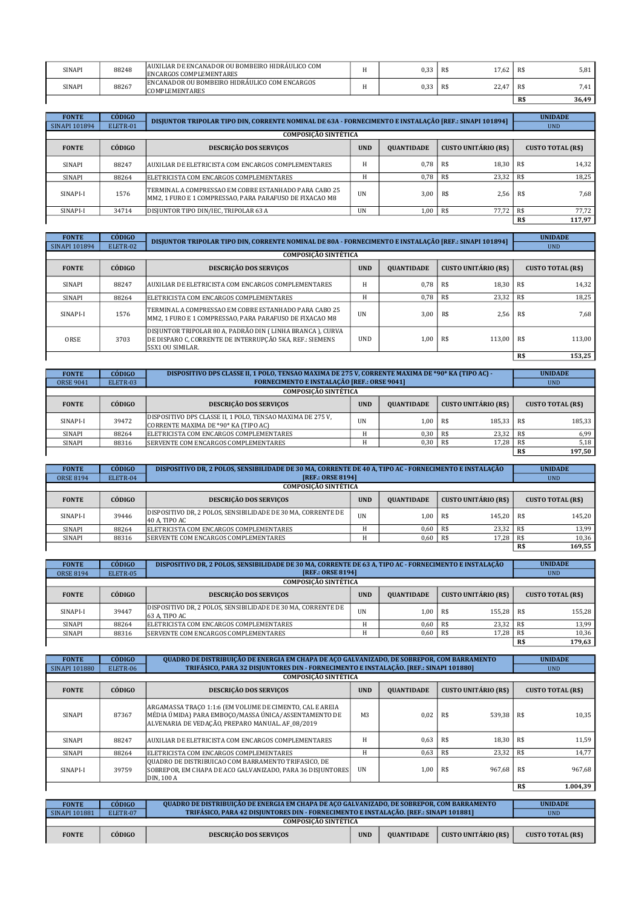| SINAPI | 88248 | AUXILIAR DE ENCANADOR OU BOMBEIRO HIDRAULICO COM<br><b>ENCARGOS COMPLEMENTARES</b> | $\mathbf{1}$ | 0,33 | 17,62<br>R\$ | R\$ | 5,81  |
|--------|-------|------------------------------------------------------------------------------------|--------------|------|--------------|-----|-------|
| SINAPI | 88267 | ENCANADOR OU BOMBEIRO HIDRÁULICO COM ENCARGOS<br><b>COMPLEMENTARES</b>             |              | 0,33 | 22,47<br>R\$ | R\$ | 7,41  |
|        |       |                                                                                    |              |      |              | R\$ | 36,49 |

| <b>FONTE</b>         | <b>CÓDIGO</b>               | DISJUNTOR TRIPOLAR TIPO DIN, CORRENTE NOMINAL DE 63A - FORNECIMENTO E INSTALAÇÃO [REF.: SINAPI 101894]           |            |                   |                             |     | <b>UNIDADE</b>           |  |  |  |
|----------------------|-----------------------------|------------------------------------------------------------------------------------------------------------------|------------|-------------------|-----------------------------|-----|--------------------------|--|--|--|
| <b>SINAPI 101894</b> | ELETR-01                    |                                                                                                                  |            |                   |                             |     | <b>UND</b>               |  |  |  |
|                      | <b>COMPOSICÃO SINTÉTICA</b> |                                                                                                                  |            |                   |                             |     |                          |  |  |  |
| <b>FONTE</b>         | CÓDIGO.                     | <b>DESCRIÇÃO DOS SERVIÇOS</b>                                                                                    | <b>UND</b> | <b>OUANTIDADE</b> | <b>CUSTO UNITÁRIO (R\$)</b> |     | <b>CUSTO TOTAL (R\$)</b> |  |  |  |
| SINAPI               | 88247                       | AUXILIAR DE ELETRICISTA COM ENCARGOS COMPLEMENTARES                                                              | Н          | 0.78              | R\$<br>18.30                | R\$ | 14,32                    |  |  |  |
| SINAPI               | 88264                       | ELETRICISTA COM ENCARGOS COMPLEMENTARES                                                                          |            | 0.78              | 23,32<br>R\$                | R\$ | 18,25                    |  |  |  |
| SINAPI-I             | 1576                        | TERMINAL A COMPRESSAO EM COBRE ESTANHADO PARA CABO 25<br>MM2. 1 FURO E 1 COMPRESSAO. PARA PARAFUSO DE FIXACAO M8 | <b>UN</b>  | 3.00              | 2,56<br>R\$                 | R\$ | 7,68                     |  |  |  |
| SINAPI-I             | 34714                       | DISJUNTOR TIPO DIN/IEC, TRIPOLAR 63 A                                                                            | UN         | 1,00              | 77.72<br>R\$                | R\$ | 77.72                    |  |  |  |
|                      |                             |                                                                                                                  |            |                   |                             | R\$ | 117.97                   |  |  |  |

| <b>FONTE</b>  | <b>CÓDIGO</b> | DISJUNTOR TRIPOLAR TIPO DIN, CORRENTE NOMINAL DE 80A - FORNECIMENTO E INSTALAÇÃO [REF.: SINAPI 101894]                                           |            |                   |                             | <b>UNIDADE</b>           |  |
|---------------|---------------|--------------------------------------------------------------------------------------------------------------------------------------------------|------------|-------------------|-----------------------------|--------------------------|--|
| SINAPI 101894 | ELETR-02      |                                                                                                                                                  |            |                   |                             | <b>UND</b>               |  |
|               |               | <b>COMPOSICÃO SINTÉTICA</b>                                                                                                                      |            |                   |                             |                          |  |
| <b>FONTE</b>  | CÓDIGO        | <b>DESCRICÃO DOS SERVICOS</b>                                                                                                                    | <b>UND</b> | <b>OUANTIDADE</b> | <b>CUSTO UNITÁRIO (R\$)</b> | <b>CUSTO TOTAL (R\$)</b> |  |
| SINAPI        | 88247         | AUXILIAR DE ELETRICISTA COM ENCARGOS COMPLEMENTARES                                                                                              | Н          | 0.78              | R\$<br>18.30                | R\$<br>14,32             |  |
| SINAPI        | 88264         | ELETRICISTA COM ENCARGOS COMPLEMENTARES                                                                                                          | Н          | 0,78              | R\$<br>23,32                | R\$<br>18,25             |  |
| SINAPI-I      | 1576          | TERMINAL A COMPRESSAO EM COBRE ESTANHADO PARA CABO 25<br> MM2. 1 FURO E 1 COMPRESSAO. PARA PARAFUSO DE FIXACAO M8                                | <b>UN</b>  | 3.00              | 2,56<br>R\$                 | R\$<br>7.68              |  |
| ORSE          | 3703          | DISJUNTOR TRIPOLAR 80 A, PADRÃO DIN (LINHA BRANCA), CURVA<br>DE DISPARO C, CORRENTE DE INTERRUPÇÃO 5KA, REF.: SIEMENS<br><b>5SX1 OU SIMILAR.</b> | UND.       | 1.00              | R\$<br>113.00               | <b>R\$</b><br>113,00     |  |
|               |               |                                                                                                                                                  |            |                   |                             | R\$<br>153,25            |  |

| <b>FONTE</b>     | <b>CÓDIGO</b>               | DISPOSITIVO DPS CLASSE II, 1 POLO, TENSAO MAXIMA DE 275 V, CORRENTE MAXIMA DE *90* KA (TIPO AC) -  |            | <b>UNIDADE</b>    |                             |            |                          |  |  |
|------------------|-----------------------------|----------------------------------------------------------------------------------------------------|------------|-------------------|-----------------------------|------------|--------------------------|--|--|
| <b>ORSE 9041</b> | ELETR-03                    | <b>FORNECIMENTO E INSTALAÇÃO [REF.: ORSE 9041]</b>                                                 |            |                   |                             | <b>UND</b> |                          |  |  |
|                  | <b>COMPOSICÃO SINTÉTICA</b> |                                                                                                    |            |                   |                             |            |                          |  |  |
| <b>FONTE</b>     | CÓDIGO                      | <b>DESCRIÇÃO DOS SERVIÇOS</b>                                                                      | <b>UND</b> | <b>OUANTIDADE</b> | <b>CUSTO UNITÁRIO (R\$)</b> |            | <b>CUSTO TOTAL (R\$)</b> |  |  |
| SINAPI-I         | 39472                       | DISPOSITIVO DPS CLASSE II, 1 POLO, TENSAO MAXIMA DE 275 V,<br>CORRENTE MAXIMA DE *90* KA (TIPO AC) | <b>UN</b>  | 1.00              | 185.33<br>R\$               | -R\$       | 185,33                   |  |  |
| SINAPI           | 88264                       | ELETRICISTA COM ENCARGOS COMPLEMENTARES                                                            | Н          | 0.30              | 23.32<br>R\$                | R\$        | 6,99                     |  |  |
| SINAPI           | 88316                       | <b>SERVENTE COM ENCARGOS COMPLEMENTARES</b>                                                        |            | 0,30              | 17,28<br>R\$                | R\$        | 5,18                     |  |  |
|                  |                             |                                                                                                    |            |                   |                             | R\$        | 197.50                   |  |  |

| <b>FONTE</b>                | <b>CÓDIGO</b> | DISPOSITIVO DR, 2 POLOS, SENSIBILIDADE DE 30 MA, CORRENTE DE 40 A, TIPO AC - FORNECIMENTO E INSTALAÇÃO |            |                   |                             | <b>UNIDADE</b>           |  |  |
|-----------------------------|---------------|--------------------------------------------------------------------------------------------------------|------------|-------------------|-----------------------------|--------------------------|--|--|
| <b>ORSE 8194</b>            | ELETR-04      | [REF.: ORSE 8194]                                                                                      |            |                   |                             | <b>UND</b>               |  |  |
| <b>COMPOSICÃO SINTÉTICA</b> |               |                                                                                                        |            |                   |                             |                          |  |  |
| <b>FONTE</b>                | CÓDIGO        | <b>DESCRIÇÃO DOS SERVIÇOS</b>                                                                          | <b>UND</b> | <b>OUANTIDADE</b> | <b>CUSTO UNITÁRIO (R\$)</b> | <b>CUSTO TOTAL (R\$)</b> |  |  |
| SINAPI-I                    | 39446         | DISPOSITIVO DR, 2 POLOS, SENSIBILIDADE DE 30 MA, CORRENTE DE<br>40 A. TIPO AC                          | <b>UN</b>  | 1.00              | 145.20<br>R\$               | 145,20<br>l R\$          |  |  |
| <b>SINAPI</b>               | 88264         | ELETRICISTA COM ENCARGOS COMPLEMENTARES                                                                |            | 0.60              | 23.32<br>R\$                | 13,99<br>R\$             |  |  |
| SINAPI                      | 88316         | SERVENTE COM ENCARGOS COMPLEMENTARES                                                                   |            | 0,60              | 17.28<br>R\$                | 10,36<br>R\$             |  |  |
|                             |               |                                                                                                        |            |                   |                             | 169,55<br>R\$            |  |  |

| <b>FONTE</b>     | <b>CÓDIGO</b>               | DISPOSITIVO DR, 2 POLOS, SENSIBILIDADE DE 30 MA, CORRENTE DE 63 A, TIPO AC - FORNECIMENTO E INSTALAÇÃO |            |                   |                             | <b>UNIDADE</b>           |  |  |  |  |
|------------------|-----------------------------|--------------------------------------------------------------------------------------------------------|------------|-------------------|-----------------------------|--------------------------|--|--|--|--|
| <b>ORSE 8194</b> | ELETR-05                    | [REF.: ORSE 8194]                                                                                      |            | <b>UND</b>        |                             |                          |  |  |  |  |
|                  | <b>COMPOSICÃO SINTÉTICA</b> |                                                                                                        |            |                   |                             |                          |  |  |  |  |
| <b>FONTE</b>     | CÓDIGO                      | <b>DESCRIÇÃO DOS SERVIÇOS</b>                                                                          | <b>UND</b> | <b>OUANTIDADE</b> | <b>CUSTO UNITÁRIO (R\$)</b> | <b>CUSTO TOTAL (R\$)</b> |  |  |  |  |
| SINAPI-I         | 39447                       | DISPOSITIVO DR. 2 POLOS. SENSIBILIDADE DE 30 MA. CORRENTE DE<br>63 A. TIPO AC                          | UN         | 1.00              | 155.28<br>R\$               | 155.28<br>R\$            |  |  |  |  |
| SINAPI           | 88264                       | ELETRICISTA COM ENCARGOS COMPLEMENTARES                                                                |            | 0,60              | 23.32<br>R\$                | 13,99<br>R\$             |  |  |  |  |
| SINAPI           | 88316                       | <b>ISERVENTE COM ENCARGOS COMPLEMENTARES</b>                                                           |            | 0,60              | 17.28<br>R\$                | 10,36<br>R\$             |  |  |  |  |
|                  |                             |                                                                                                        |            |                   |                             | 179,63<br>R\$            |  |  |  |  |

| <b>FONTE</b>         | <b>CÓDIGO</b>               | QUADRO DE DISTRIBUIÇÃO DE ENERGIA EM CHAPA DE AÇO GALVANIZADO, DE SOBREPOR, COM BARRAMENTO                                                                           |                |                   |                             | <b>UNIDADE</b> |                          |  |  |
|----------------------|-----------------------------|----------------------------------------------------------------------------------------------------------------------------------------------------------------------|----------------|-------------------|-----------------------------|----------------|--------------------------|--|--|
| <b>SINAPI 101880</b> | ELETR-06                    | TRIFÁSICO, PARA 32 DISJUNTORES DIN - FORNECIMENTO E INSTALAÇÃO. [REF.: SINAPI 101880]                                                                                |                |                   |                             | <b>UND</b>     |                          |  |  |
|                      | <b>COMPOSICÃO SINTÉTICA</b> |                                                                                                                                                                      |                |                   |                             |                |                          |  |  |
| <b>FONTE</b>         | CÓDIGO                      | DESCRIÇÃO DOS SERVIÇOS                                                                                                                                               | <b>UND</b>     | <b>QUANTIDADE</b> | <b>CUSTO UNITÁRIO (R\$)</b> |                | <b>CUSTO TOTAL (R\$)</b> |  |  |
| SINAPI               | 87367                       | ARGAMASSA TRACO 1:1:6 (EM VOLUME DE CIMENTO, CAL E AREIA<br>MÉDIA ÚMIDA) PARA EMBOCO/MASSA ÚNICA/ASSENTAMENTO DE<br>ALVENARIA DE VEDAÇÃO, PREPARO MANUAL. AF 08/2019 | M <sub>3</sub> | 0.02              | R <sub>s</sub><br>539,38    | R\$            | 10.35                    |  |  |
| SINAPI               | 88247                       | AUXILIAR DE ELETRICISTA COM ENCARGOS COMPLEMENTARES                                                                                                                  | H              | 0.63              | R\$<br>18.30                | R\$            | 11.59                    |  |  |
| SINAPI               | 88264                       | ELETRICISTA COM ENCARGOS COMPLEMENTARES                                                                                                                              | Н              | 0,63              | 23,32<br>R\$                | R\$            | 14,77                    |  |  |
| SINAPI-I             | 39759                       | QUADRO DE DISTRIBUICAO COM BARRAMENTO TRIFASICO, DE<br>SOBREPOR. EM CHAPA DE ACO GALVANIZADO. PARA 36 DISIUNTORES<br>DIN. 100 A                                      | <b>UN</b>      | 1.00              | R\$<br>967.68               | R\$            | 967.68                   |  |  |
|                      | R\$                         |                                                                                                                                                                      |                |                   |                             |                |                          |  |  |

| <b>FONTE</b>  | <b>CÓDIGO</b><br>OUADRO DE DISTRIBUICÃO DE ENERGIA EM CHAPA DE ACO GALVANIZADO. DE SOBREPOR. COM BARRAMENTO |                                                                                       |  |            |  |                          |  |  |
|---------------|-------------------------------------------------------------------------------------------------------------|---------------------------------------------------------------------------------------|--|------------|--|--------------------------|--|--|
| SINAPI 101881 | ELETR-07                                                                                                    | TRIFÁSICO. PARA 42 DISIUNTORES DIN - FORNECIMENTO E INSTALAÇÃO. [REF.: SINAPI 101881] |  | <b>UND</b> |  |                          |  |  |
|               | COMPOSICÃO SINTÉTICA                                                                                        |                                                                                       |  |            |  |                          |  |  |
| <b>FONTE</b>  | <b>CÓDIGO</b><br>CUSTO UNITÁRIO (R\$)<br><b>DESCRICÃO DOS SERVICOS</b><br><b>UND</b><br><b>OUANTIDADE</b>   |                                                                                       |  |            |  | <b>CUSTO TOTAL (R\$)</b> |  |  |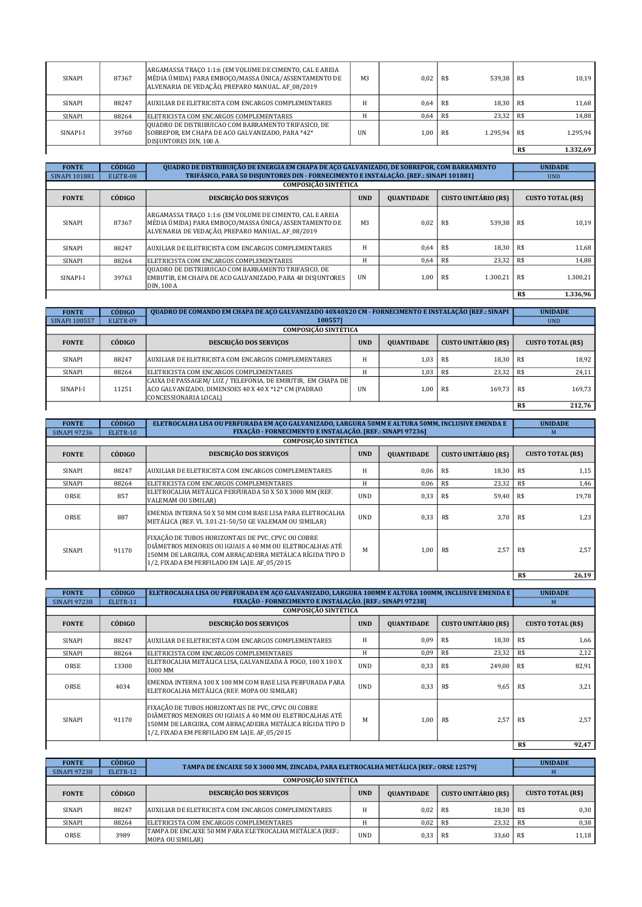| <b>SINAPI</b> | 87367 | ARGAMASSA TRACO 1:1:6 (EM VOLUME DE CIMENTO, CAL E AREIA<br>MÉDIA ÚMIDA) PARA EMBOCO/MASSA ÚNICA/ASSENTAMENTO DE<br>ALVENARIA DE VEDAÇÃO, PREPARO MANUAL. AF 08/2019 | M <sub>3</sub> | 0.02 | 539,38<br>R\$   | R\$        | 10.19    |
|---------------|-------|----------------------------------------------------------------------------------------------------------------------------------------------------------------------|----------------|------|-----------------|------------|----------|
| <b>SINAPI</b> | 88247 | AUXILIAR DE ELETRICISTA COM ENCARGOS COMPLEMENTARES                                                                                                                  |                | 0.64 | 18.30<br>R\$    | - R\$      | 11.68    |
| SINAPI        | 88264 | ELETRICISTA COM ENCARGOS COMPLEMENTARES                                                                                                                              |                | 0,64 | 23.32<br>R\$    | <b>R\$</b> | 14,88    |
| SINAPI-I      | 39760 | QUADRO DE DISTRIBUICAO COM BARRAMENTO TRIFASICO, DE<br>SOBREPOR, EM CHAPA DE ACO GALVANIZADO, PARA *42*<br>DISJUNTORES DIN, 100 A                                    | <b>UN</b>      | 00,1 | 1.295.94<br>R\$ | R\$        | 1.295,94 |
|               |       |                                                                                                                                                                      |                |      |                 | R\$        | 1.332,69 |

| <b>FONTE</b>         | <b>CÓDIGO</b> | QUADRO DE DISTRIBUIÇÃO DE ENERGIA EM CHAPA DE AÇO GALVANIZADO, DE SOBREPOR, COM BARRAMENTO<br>TRIFÁSICO, PARA 50 DISJUNTORES DIN - FORNECIMENTO E INSTALAÇÃO. [REF.: SINAPI 101881] |                | <b>UNIDADE</b>    |                             |                          |
|----------------------|---------------|-------------------------------------------------------------------------------------------------------------------------------------------------------------------------------------|----------------|-------------------|-----------------------------|--------------------------|
| <b>SINAPI 101881</b> | ELETR-08      | <b>COMPOSICÃO SINTÉTICA</b>                                                                                                                                                         |                |                   |                             | <b>UND</b>               |
| <b>FONTE</b>         | CÓDIGO        | <b>DESCRIÇÃO DOS SERVIÇOS</b>                                                                                                                                                       | <b>UND</b>     | <b>OUANTIDADE</b> | <b>CUSTO UNITÁRIO (R\$)</b> | <b>CUSTO TOTAL (R\$)</b> |
| <b>SINAPI</b>        | 87367         | ARGAMASSA TRAÇO 1:1:6 (EM VOLUME DE CIMENTO, CAL E AREIA<br>MÉDIA ÚMIDA) PARA EMBOCO/MASSA ÚNICA/ASSENTAMENTO DE<br>ALVENARIA DE VEDAÇÃO, PREPARO MANUAL. AF_08/2019                | M <sub>3</sub> | 0.02              | R\$<br>539,38               | R\$<br>10,19             |
| SINAPI               | 88247         | AUXILIAR DE ELETRICISTA COM ENCARGOS COMPLEMENTARES                                                                                                                                 | Н              | 0.64              | R\$<br>18.30                | R\$<br>11,68             |
| <b>SINAPI</b>        | 88264         | ELETRICISTA COM ENCARGOS COMPLEMENTARES                                                                                                                                             | Н              | 0,64              | R\$<br>23,32                | R\$<br>14,88             |
| SINAPI-I             | 39763         | QUADRO DE DISTRIBUICAO COM BARRAMENTO TRIFASICO, DE<br>EMBUTIR. EM CHAPA DE ACO GALVANIZADO. PARA 48 DISIUNTORES<br>DIN. 100 A                                                      | <b>UN</b>      | 1.00              | R\$<br>1.300.21             | <b>R\$</b><br>1.300.21   |
|                      |               |                                                                                                                                                                                     |                |                   |                             | R\$<br>1.336,96          |

| <b>FONTE</b>         | CÓDIGO                      | <b>QUADRO DE COMANDO EM CHAPA DE ACO GALVANIZADO 40X40X20 CM - FORNECIMENTO E INSTALAÇÃO [REF.: SINAPI</b>                                     |            |                   |                             | <b>UNIDADE</b> |                          |
|----------------------|-----------------------------|------------------------------------------------------------------------------------------------------------------------------------------------|------------|-------------------|-----------------------------|----------------|--------------------------|
| <b>SINAPI 100557</b> | ELETR-09                    | 1005571                                                                                                                                        |            |                   |                             |                | <b>UND</b>               |
|                      | <b>COMPOSICÃO SINTÉTICA</b> |                                                                                                                                                |            |                   |                             |                |                          |
| <b>FONTE</b>         | <b>CÓDIGO</b>               | <b>DESCRIÇÃO DOS SERVIÇOS</b>                                                                                                                  | <b>UND</b> | <b>QUANTIDADE</b> | <b>CUSTO UNITÁRIO (R\$)</b> |                | <b>CUSTO TOTAL (R\$)</b> |
| <b>SINAPI</b>        | 88247                       | <b>AUXILIAR DE ELETRICISTA COM ENCARGOS COMPLEMENTARES</b>                                                                                     |            | 1.03              | R\$<br>18.30                | l R\$          | 18,92                    |
| SINAPI               | 88264                       | ELETRICISTA COM ENCARGOS COMPLEMENTARES                                                                                                        | Н          | 1,03              | 23.32<br>R\$                | R\$            | 24,11                    |
| SINAPI-I             | 11251                       | CAIXA DE PASSAGEM/ LUZ / TELEFONIA, DE EMBUTIR, EM CHAPA DE  <br>ACO GALVANIZADO, DIMENSOES 40 X 40 X *12* CM (PADRAO<br>CONCESSIONARIA LOCAL) | <b>UN</b>  | 1.00              | 169.73<br>R\$               | <b>R\$</b>     | 169.73                   |
|                      |                             |                                                                                                                                                |            |                   |                             | R\$            | 212,76                   |

| <b>FONTE</b>        | <b>CÓDIGO</b> | ELETROCALHA LISA OU PERFURADA EM ACO GALVANIZADO, LARGURA 50MM E ALTURA 50MM, INCLUSIVE EMENDA E                                                                                                                          |            |                   |                             | <b>UNIDADE</b>           |
|---------------------|---------------|---------------------------------------------------------------------------------------------------------------------------------------------------------------------------------------------------------------------------|------------|-------------------|-----------------------------|--------------------------|
| <b>SINAPI 97236</b> | ELETR-10      | FIXAÇÃO - FORNECIMENTO E INSTALAÇÃO. [REF.: SINAPI 97236]                                                                                                                                                                 |            |                   |                             | M                        |
|                     |               | <b>COMPOSICÃO SINTÉTICA</b>                                                                                                                                                                                               |            |                   |                             |                          |
| <b>FONTE</b>        | CÓDIGO        | DESCRIÇÃO DOS SERVIÇOS                                                                                                                                                                                                    | <b>UND</b> | <b>QUANTIDADE</b> | <b>CUSTO UNITÁRIO (R\$)</b> | <b>CUSTO TOTAL (R\$)</b> |
| SINAPI              | 88247         | AUXILIAR DE ELETRICISTA COM ENCARGOS COMPLEMENTARES                                                                                                                                                                       | H          | 0,06              | R\$<br>18,30                | R\$<br>1,15              |
| SINAPI              | 88264         | ELETRICISTA COM ENCARGOS COMPLEMENTARES                                                                                                                                                                                   | H          | 0,06              | R\$<br>23,32                | R\$<br>1,46              |
| ORSE                | 857           | ELETROCALHA METÁLICA PERFURADA 50 X 50 X 3000 MM (REF.<br>VALEMAM OU SIMILAR)                                                                                                                                             | <b>UND</b> | 0,33              | R\$<br>59,40                | 19,78<br>R\$             |
| ORSE                | 887           | EMENDA INTERNA 50 X 50 MM COM BASE LISA PARA ELETROCALHA<br>METÁLICA (REF. VL 3.01-21-50/50 GE VALEMAM OU SIMILAR)                                                                                                        | <b>UND</b> | 0,33              | R\$<br>3,70                 | 1,23<br>R\$              |
| SINAPI              | 91170         | FIXAÇÃO DE TUBOS HORIZONTAIS DE PVC, CPVC OU COBRE<br>DIÂMETROS MENORES OU IGUAIS A 40 MM OU ELETROCALHAS ATÉ<br>150MM DE LARGURA, COM ABRAÇADEIRA METÁLICA RÍGIDA TIPO D<br>1/2, FIXADA EM PERFILADO EM LAJE. AF 05/2015 | M          | 1.00              | R\$<br>2,57                 | 2.57<br>R\$              |
|                     |               |                                                                                                                                                                                                                           |            |                   |                             | 26,19<br>R\$             |

| <b>FONTE</b><br><b>SINAPI 97238</b> | <b>CÓDIGO</b><br>ELETR-11 | ELETROCALHA LISA OU PERFURADA EM ACO GALVANIZADO, LARGURA 100MM E ALTURA 100MM, INCLUSIVE EMENDA E<br>FIXAÇÃO - FORNECIMENTO E INSTALAÇÃO. [REF.: SINAPI 97238]                                                           |            |                   |                             | <b>UNIDADE</b><br>M      |  |
|-------------------------------------|---------------------------|---------------------------------------------------------------------------------------------------------------------------------------------------------------------------------------------------------------------------|------------|-------------------|-----------------------------|--------------------------|--|
|                                     |                           | <b>COMPOSICÃO SINTÉTICA</b>                                                                                                                                                                                               |            |                   |                             |                          |  |
| <b>FONTE</b>                        | <b>CÓDIGO</b>             | <b>DESCRIÇÃO DOS SERVIÇOS</b>                                                                                                                                                                                             | <b>UND</b> | <b>QUANTIDADE</b> | <b>CUSTO UNITÁRIO (R\$)</b> | <b>CUSTO TOTAL (R\$)</b> |  |
| SINAPI                              | 88247                     | AUXILIAR DE ELETRICISTA COM ENCARGOS COMPLEMENTARES                                                                                                                                                                       | H          | 0,09              | R\$<br>18,30                | R\$<br>1,66              |  |
| SINAPI                              | 88264                     | ELETRICISTA COM ENCARGOS COMPLEMENTARES                                                                                                                                                                                   | H          | 0,09              | R\$<br>23,32                | R\$<br>2,12              |  |
| ORSE                                | 13300                     | ELETROCALHA METÁLICA LISA. GALVANIZADA À FOGO. 100 X 100 X<br>3000 MM                                                                                                                                                     | <b>UND</b> | 0,33              | R\$<br>249,00               | 82,91<br>R\$             |  |
| ORSE                                | 4034                      | EMENDA INTERNA 100 X 100 MM COM BASE LISA PERFURADA PARA<br>ELETROCALHA METÁLICA (REF. MOPA OU SIMILAR)                                                                                                                   | <b>UND</b> | 0,33              | R\$<br>9,65                 | 3.21<br>R\$              |  |
| SINAPI                              | 91170                     | FIXAÇÃO DE TUBOS HORIZONTAIS DE PVC, CPVC OU COBRE<br>DIÂMETROS MENORES OU IGUAIS A 40 MM OU ELETROCALHAS ATÉ<br>150MM DE LARGURA, COM ABRAÇADEIRA METÁLICA RÍGIDA TIPO D<br>1/2, FIXADA EM PERFILADO EM LAJE. AF 05/2015 | M          | 1,00              | R\$<br>2,57                 | R\$<br>2.57              |  |
|                                     |                           |                                                                                                                                                                                                                           |            |                   |                             | 92,47<br>R\$             |  |

| <b>FONTE</b>        | <b>CÓDIGO</b>               | TAMPA DE ENCAIXE 50 X 3000 MM, ZINCADA, PARA ELETROCALHA METÁLICA [REF.: ORSE 12579] |            |                   |                             | <b>UNIDADE</b>           |  |  |  |
|---------------------|-----------------------------|--------------------------------------------------------------------------------------|------------|-------------------|-----------------------------|--------------------------|--|--|--|
| <b>SINAPI 97238</b> | ELETR-12                    |                                                                                      |            |                   |                             |                          |  |  |  |
|                     | <b>COMPOSICÃO SINTÉTICA</b> |                                                                                      |            |                   |                             |                          |  |  |  |
| <b>FONTE</b>        | CÓDIGO                      | <b>DESCRIÇÃO DOS SERVIÇOS</b>                                                        | <b>UND</b> | <b>QUANTIDADE</b> | <b>CUSTO UNITÁRIO (R\$)</b> | <b>CUSTO TOTAL (R\$)</b> |  |  |  |
| <b>SINAPI</b>       | 88247                       | <b>AUXILIAR DE ELETRICISTA COM ENCARGOS COMPLEMENTARES</b>                           |            | 0.02              | 18.30<br>R\$                | 0.30<br>R\$              |  |  |  |
| SINAPI              | 88264                       | ELETRICISTA COM ENCARGOS COMPLEMENTARES                                              |            | 0,02              | 23,32<br>R\$                | 0,38<br>R\$              |  |  |  |
| ORSE                | 3989                        | TAMPA DE ENCAIXE 50 MM PARA ELETROCALHA METÁLICA (REF.:<br>MOPA OU SIMILAR)          | UND        | 0.33              | 33,60<br>R\$                | R\$<br>11.18             |  |  |  |